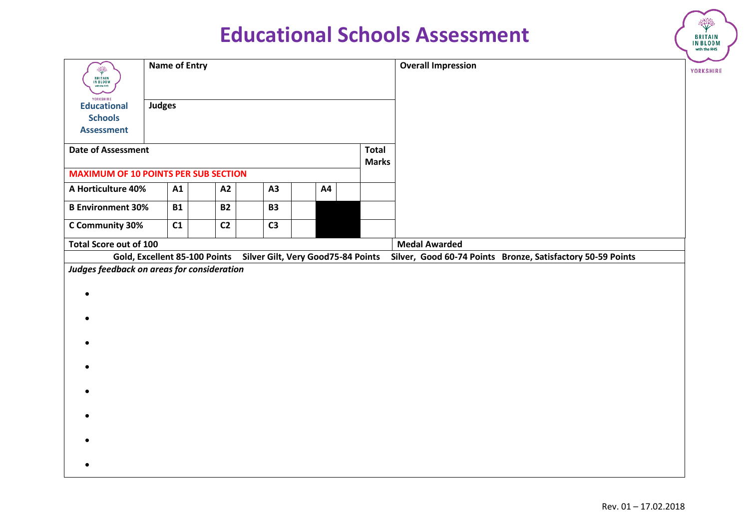|                                                                        |                      |           |                               |  |                |                                    |                              | <b>Educational Schools Assessment</b>                       | <b>BRITAIN</b><br>IN BLOOM<br>with the RHS |
|------------------------------------------------------------------------|----------------------|-----------|-------------------------------|--|----------------|------------------------------------|------------------------------|-------------------------------------------------------------|--------------------------------------------|
| ◈<br><b>BRITAIN</b><br>IN BLOOM<br>with the RHS                        | <b>Name of Entry</b> |           |                               |  |                |                                    |                              | <b>Overall Impression</b>                                   | YORKSHIRE                                  |
| YORKSHIRE<br><b>Educational</b><br><b>Schools</b><br><b>Assessment</b> | <b>Judges</b>        |           |                               |  |                |                                    |                              |                                                             |                                            |
| <b>Date of Assessment</b>                                              |                      |           |                               |  |                |                                    | <b>Total</b><br><b>Marks</b> |                                                             |                                            |
| <b>MAXIMUM OF 10 POINTS PER SUB SECTION</b>                            |                      |           |                               |  |                |                                    |                              |                                                             |                                            |
| A Horticulture 40%                                                     |                      | A1        | A2                            |  | A3             | A4                                 |                              |                                                             |                                            |
| <b>B Environment 30%</b>                                               |                      | <b>B1</b> | <b>B2</b>                     |  | <b>B3</b>      |                                    |                              |                                                             |                                            |
| C Community 30%                                                        |                      | C1        | C <sub>2</sub>                |  | C <sub>3</sub> |                                    |                              |                                                             |                                            |
| Total Score out of 100                                                 |                      |           |                               |  |                |                                    |                              | <b>Medal Awarded</b>                                        |                                            |
|                                                                        |                      |           | Gold, Excellent 85-100 Points |  |                | Silver Gilt, Very Good75-84 Points |                              | Silver, Good 60-74 Points Bronze, Satisfactory 50-59 Points |                                            |
| Judges feedback on areas for consideration                             |                      |           |                               |  |                |                                    |                              |                                                             |                                            |
|                                                                        |                      |           |                               |  |                |                                    |                              |                                                             |                                            |
|                                                                        |                      |           |                               |  |                |                                    |                              |                                                             |                                            |
|                                                                        |                      |           |                               |  |                |                                    |                              |                                                             |                                            |
|                                                                        |                      |           |                               |  |                |                                    |                              |                                                             |                                            |

₩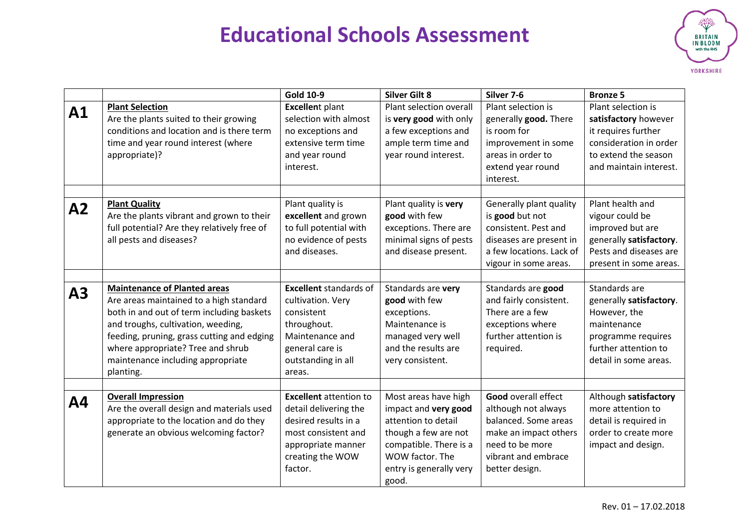

|           |                                                                                     | <b>Gold 10-9</b>                                | <b>Silver Gilt 8</b>    | Silver 7-6                           | <b>Bronze 5</b>         |
|-----------|-------------------------------------------------------------------------------------|-------------------------------------------------|-------------------------|--------------------------------------|-------------------------|
| A1        | <b>Plant Selection</b>                                                              | <b>Excellent plant</b><br>selection with almost | Plant selection overall | Plant selection is                   | Plant selection is      |
|           | Are the plants suited to their growing<br>conditions and location and is there term |                                                 | is very good with only  | generally good. There<br>is room for | satisfactory however    |
|           |                                                                                     | no exceptions and                               | a few exceptions and    |                                      | it requires further     |
|           | time and year round interest (where                                                 | extensive term time                             | ample term time and     | improvement in some                  | consideration in order  |
|           | appropriate)?                                                                       | and year round                                  | year round interest.    | areas in order to                    | to extend the season    |
|           |                                                                                     | interest.                                       |                         | extend year round                    | and maintain interest.  |
|           |                                                                                     |                                                 |                         | interest.                            |                         |
|           |                                                                                     |                                                 |                         |                                      |                         |
| A2        | <b>Plant Quality</b>                                                                | Plant quality is                                | Plant quality is very   | Generally plant quality              | Plant health and        |
|           | Are the plants vibrant and grown to their                                           | excellent and grown                             | good with few           | is good but not                      | vigour could be         |
|           | full potential? Are they relatively free of                                         | to full potential with                          | exceptions. There are   | consistent. Pest and                 | improved but are        |
|           | all pests and diseases?                                                             | no evidence of pests                            | minimal signs of pests  | diseases are present in              | generally satisfactory. |
|           |                                                                                     | and diseases.                                   | and disease present.    | a few locations. Lack of             | Pests and diseases are  |
|           |                                                                                     |                                                 |                         | vigour in some areas.                | present in some areas.  |
|           |                                                                                     |                                                 |                         |                                      |                         |
| A3        | <b>Maintenance of Planted areas</b>                                                 | <b>Excellent</b> standards of                   | Standards are very      | Standards are good                   | Standards are           |
|           | Are areas maintained to a high standard                                             | cultivation. Very                               | good with few           | and fairly consistent.               | generally satisfactory. |
|           | both in and out of term including baskets                                           | consistent                                      | exceptions.             | There are a few                      | However, the            |
|           | and troughs, cultivation, weeding,                                                  | throughout.                                     | Maintenance is          | exceptions where                     | maintenance             |
|           | feeding, pruning, grass cutting and edging                                          | Maintenance and                                 | managed very well       | further attention is                 | programme requires      |
|           | where appropriate? Tree and shrub                                                   | general care is                                 | and the results are     | required.                            | further attention to    |
|           | maintenance including appropriate                                                   | outstanding in all                              | very consistent.        |                                      | detail in some areas.   |
|           | planting.                                                                           | areas.                                          |                         |                                      |                         |
|           |                                                                                     |                                                 |                         |                                      |                         |
| <b>A4</b> | <b>Overall Impression</b>                                                           | <b>Excellent</b> attention to                   | Most areas have high    | <b>Good overall effect</b>           | Although satisfactory   |
|           | Are the overall design and materials used                                           | detail delivering the                           | impact and very good    | although not always                  | more attention to       |
|           | appropriate to the location and do they                                             | desired results in a                            | attention to detail     | balanced. Some areas                 | detail is required in   |
|           | generate an obvious welcoming factor?                                               | most consistent and                             | though a few are not    | make an impact others                | order to create more    |
|           |                                                                                     | appropriate manner                              | compatible. There is a  | need to be more                      | impact and design.      |
|           |                                                                                     | creating the WOW                                | WOW factor. The         | vibrant and embrace                  |                         |
|           |                                                                                     | factor.                                         | entry is generally very | better design.                       |                         |
|           |                                                                                     |                                                 | good.                   |                                      |                         |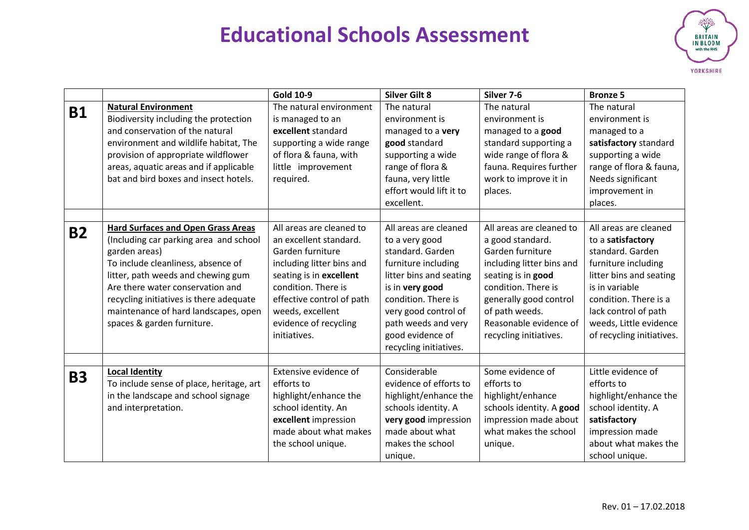

|           |                                                                                                                                                                                                                                                                                                                                       | <b>Gold 10-9</b>                                                                                                                                                                                                                                | <b>Silver Gilt 8</b>                                                                                                                                                                                                                                 | Silver 7-6                                                                                                                                                                                                                                 | <b>Bronze 5</b>                                                                                                                                                                                                                            |
|-----------|---------------------------------------------------------------------------------------------------------------------------------------------------------------------------------------------------------------------------------------------------------------------------------------------------------------------------------------|-------------------------------------------------------------------------------------------------------------------------------------------------------------------------------------------------------------------------------------------------|------------------------------------------------------------------------------------------------------------------------------------------------------------------------------------------------------------------------------------------------------|--------------------------------------------------------------------------------------------------------------------------------------------------------------------------------------------------------------------------------------------|--------------------------------------------------------------------------------------------------------------------------------------------------------------------------------------------------------------------------------------------|
| <b>B1</b> | <b>Natural Environment</b><br>Biodiversity including the protection<br>and conservation of the natural<br>environment and wildlife habitat, The<br>provision of appropriate wildflower<br>areas, aquatic areas and if applicable<br>bat and bird boxes and insect hotels.                                                             | The natural environment<br>is managed to an<br>excellent standard<br>supporting a wide range<br>of flora & fauna, with<br>little improvement<br>required.                                                                                       | The natural<br>environment is<br>managed to a very<br>good standard<br>supporting a wide<br>range of flora &<br>fauna, very little<br>effort would lift it to<br>excellent.                                                                          | The natural<br>environment is<br>managed to a good<br>standard supporting a<br>wide range of flora &<br>fauna. Requires further<br>work to improve it in<br>places.                                                                        | The natural<br>environment is<br>managed to a<br>satisfactory standard<br>supporting a wide<br>range of flora & fauna,<br>Needs significant<br>improvement in<br>places.                                                                   |
| <b>B2</b> | <b>Hard Surfaces and Open Grass Areas</b><br>(Including car parking area and school<br>garden areas)<br>To include cleanliness, absence of<br>litter, path weeds and chewing gum<br>Are there water conservation and<br>recycling initiatives is there adequate<br>maintenance of hard landscapes, open<br>spaces & garden furniture. | All areas are cleaned to<br>an excellent standard.<br>Garden furniture<br>including litter bins and<br>seating is in excellent<br>condition. There is<br>effective control of path<br>weeds, excellent<br>evidence of recycling<br>initiatives. | All areas are cleaned<br>to a very good<br>standard. Garden<br>furniture including<br>litter bins and seating<br>is in very good<br>condition. There is<br>very good control of<br>path weeds and very<br>good evidence of<br>recycling initiatives. | All areas are cleaned to<br>a good standard.<br>Garden furniture<br>including litter bins and<br>seating is in good<br>condition. There is<br>generally good control<br>of path weeds.<br>Reasonable evidence of<br>recycling initiatives. | All areas are cleaned<br>to a satisfactory<br>standard. Garden<br>furniture including<br>litter bins and seating<br>is in variable<br>condition. There is a<br>lack control of path<br>weeds, Little evidence<br>of recycling initiatives. |
| <b>B3</b> | <b>Local Identity</b><br>To include sense of place, heritage, art<br>in the landscape and school signage<br>and interpretation.                                                                                                                                                                                                       | Extensive evidence of<br>efforts to<br>highlight/enhance the<br>school identity. An<br>excellent impression<br>made about what makes<br>the school unique.                                                                                      | Considerable<br>evidence of efforts to<br>highlight/enhance the<br>schools identity. A<br>very good impression<br>made about what<br>makes the school<br>unique.                                                                                     | Some evidence of<br>efforts to<br>highlight/enhance<br>schools identity. A good<br>impression made about<br>what makes the school<br>unique.                                                                                               | Little evidence of<br>efforts to<br>highlight/enhance the<br>school identity. A<br>satisfactory<br>impression made<br>about what makes the<br>school unique.                                                                               |